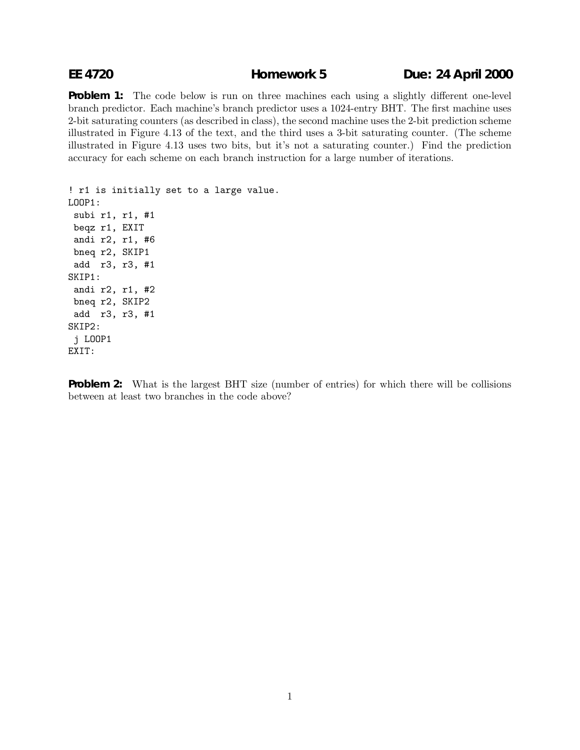## **EE 4720 Homework 5 Due: 24 April 2000**

**Problem 1:** The code below is run on three machines each using a slightly different one-level branch predictor. Each machine's branch predictor uses a 1024-entry BHT. The first machine uses 2-bit saturating counters (as described in class), the second machine uses the 2-bit prediction scheme illustrated in Figure 4.13 of the text, and the third uses a 3-bit saturating counter. (The scheme illustrated in Figure 4.13 uses two bits, but it's not a saturating counter.) Find the prediction accuracy for each scheme on each branch instruction for a large number of iterations.

! r1 is initially set to a large value. LOOP1: subi r1, r1, #1 beqz r1, EXIT andi r2, r1, #6 bneq r2, SKIP1 add r3, r3, #1 SKIP1: andi r2, r1, #2 bneq r2, SKIP2 add r3, r3, #1 SKIP2: j LOOP1 EXIT:

**Problem 2:** What is the largest BHT size (number of entries) for which there will be collisions between at least two branches in the code above?